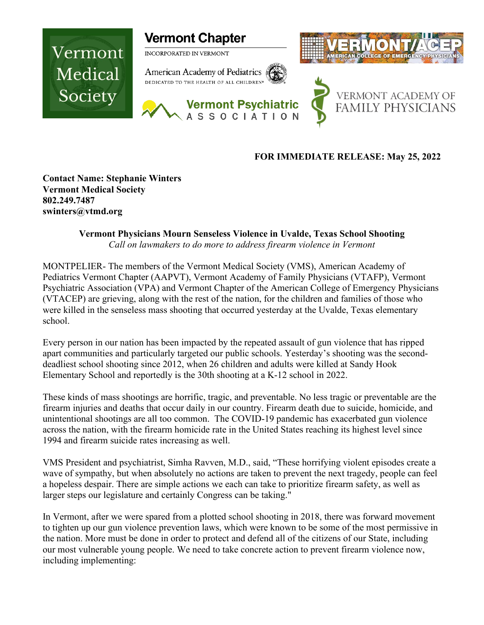

## **FOR IMMEDIATE RELEASE: May 25, 2022**

**Contact Name: Stephanie Winters Vermont Medical Society 802.249.7487 swinters@vtmd.org**

## **Vermont Physicians Mourn Senseless Violence in Uvalde, Texas School Shooting**

*Call on lawmakers to do more to address firearm violence in Vermont*

MONTPELIER- The members of the Vermont Medical Society (VMS), American Academy of Pediatrics Vermont Chapter (AAPVT), Vermont Academy of Family Physicians (VTAFP), Vermont Psychiatric Association (VPA) and Vermont Chapter of the American College of Emergency Physicians (VTACEP) are grieving, along with the rest of the nation, for the children and families of those who were killed in the senseless mass shooting that occurred yesterday at the Uvalde, Texas elementary school.

Every person in our nation has been impacted by the repeated assault of gun violence that has ripped apart communities and particularly targeted our public schools. Yesterday's shooting was the seconddeadliest school shooting since 2012, when 26 children and adults were killed at Sandy Hook Elementary School and reportedly is the 30th shooting at a K-12 school in 2022.

These kinds of mass shootings are horrific, tragic, and preventable. No less tragic or preventable are the firearm injuries and deaths that occur daily in our country. Firearm death due to suicide, homicide, and unintentional shootings are all too common. The COVID-19 pandemic has exacerbated gun violence across the nation, with the firearm homicide rate in the United States reaching its highest level since 1994 and firearm suicide rates increasing as well.

VMS President and psychiatrist, Simha Ravven, M.D., said, "These horrifying violent episodes create a wave of sympathy, but when absolutely no actions are taken to prevent the next tragedy, people can feel a hopeless despair. There are simple actions we each can take to prioritize firearm safety, as well as larger steps our legislature and certainly Congress can be taking."

In Vermont, after we were spared from a plotted school shooting in 2018, there was forward movement to tighten up our gun violence prevention laws, which were known to be some of the most permissive in the nation. More must be done in order to protect and defend all of the citizens of our State, including our most vulnerable young people. We need to take concrete action to prevent firearm violence now, including implementing: